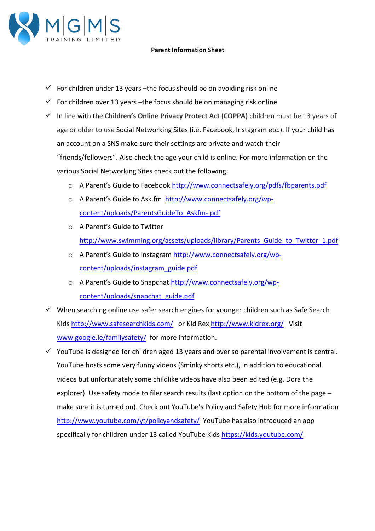

## **Parent Information Sheet**

- $\checkmark$  For children under 13 years –the focus should be on avoiding risk online
- $\checkmark$  For children over 13 years -the focus should be on managing risk online
- $\checkmark$  In line with the Children's Online Privacy Protect Act (COPPA) children must be 13 years of age or older to use Social Networking Sites (i.e. Facebook, Instagram etc.). If your child has an account on a SNS make sure their settings are private and watch their "friends/followers". Also check the age your child is online. For more information on the various Social Networking Sites check out the following:
	- o A Parent's Guide to Facebook http://www.connectsafely.org/pdfs/fbparents.pdf
	- o A Parent's Guide to Ask.fm http://www.connectsafely.org/wpcontent/uploads/ParentsGuideTo\_Askfm-.pdf
	- $\circ$  A Parent's Guide to Twitter http://www.swimming.org/assets/uploads/library/Parents\_Guide\_to\_Twitter\_1.pdf
	- o A Parent's Guide to Instagram http://www.connectsafely.org/wpcontent/uploads/instagram\_guide.pdf
	- o A Parent's Guide to Snapchat http://www.connectsafely.org/wpcontent/uploads/snapchat\_guide.pdf
- $\checkmark$  When searching online use safer search engines for younger children such as Safe Search Kids http://www.safesearchkids.com/ or Kid Rex http://www.kidrex.org/ Visit www.google.ie/familysafety/ for more information.
- $\checkmark$  YouTube is designed for children aged 13 years and over so parental involvement is central. YouTube hosts some very funny videos (Sminky shorts etc.), in addition to educational videos but unfortunately some childlike videos have also been edited (e.g. Dora the explorer). Use safety mode to filer search results (last option on the bottom of the page  $$ make sure it is turned on). Check out YouTube's Policy and Safety Hub for more information http://www.youtube.com/yt/policyandsafety/ YouTube has also introduced an app specifically for children under 13 called YouTube Kids https://kids.youtube.com/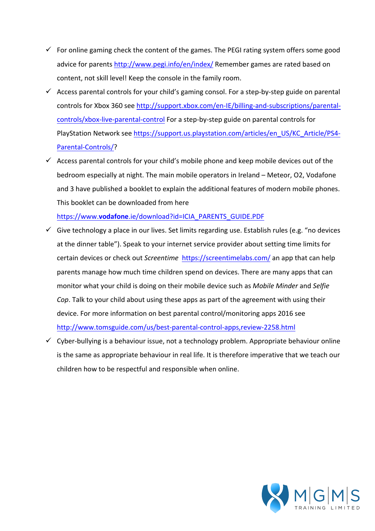- $\checkmark$  For online gaming check the content of the games. The PEGI rating system offers some good advice for parents http://www.pegi.info/en/index/ Remember games are rated based on content, not skill level! Keep the console in the family room.
- $\checkmark$  Access parental controls for your child's gaming consol. For a step-by-step guide on parental controls for Xbox 360 see http://support.xbox.com/en-IE/billing-and-subscriptions/parentalcontrols/xbox-live-parental-control For a step-by-step guide on parental controls for PlayStation Network see https://support.us.playstation.com/articles/en\_US/KC\_Article/PS4-Parental-Controls/?
- $\checkmark$  Access parental controls for your child's mobile phone and keep mobile devices out of the bedroom especially at night. The main mobile operators in Ireland – Meteor, O2, Vodafone and 3 have published a booklet to explain the additional features of modern mobile phones. This booklet can be downloaded from here

https://www.**vodafone**.ie/download?id=ICIA\_PARENTS\_GUIDE.PDF

- $\checkmark$  Give technology a place in our lives. Set limits regarding use. Establish rules (e.g. "no devices at the dinner table"). Speak to your internet service provider about setting time limits for certain devices or check out *Screentime* https://screentimelabs.com/ an app that can help parents manage how much time children spend on devices. There are many apps that can monitor what your child is doing on their mobile device such as *Mobile Minder* and Selfie *Cop*. Talk to your child about using these apps as part of the agreement with using their device. For more information on best parental control/monitoring apps 2016 see http://www.tomsguide.com/us/best-parental-control-apps,review-2258.html
- $\checkmark$  Cyber-bullying is a behaviour issue, not a technology problem. Appropriate behaviour online is the same as appropriate behaviour in real life. It is therefore imperative that we teach our children how to be respectful and responsible when online.